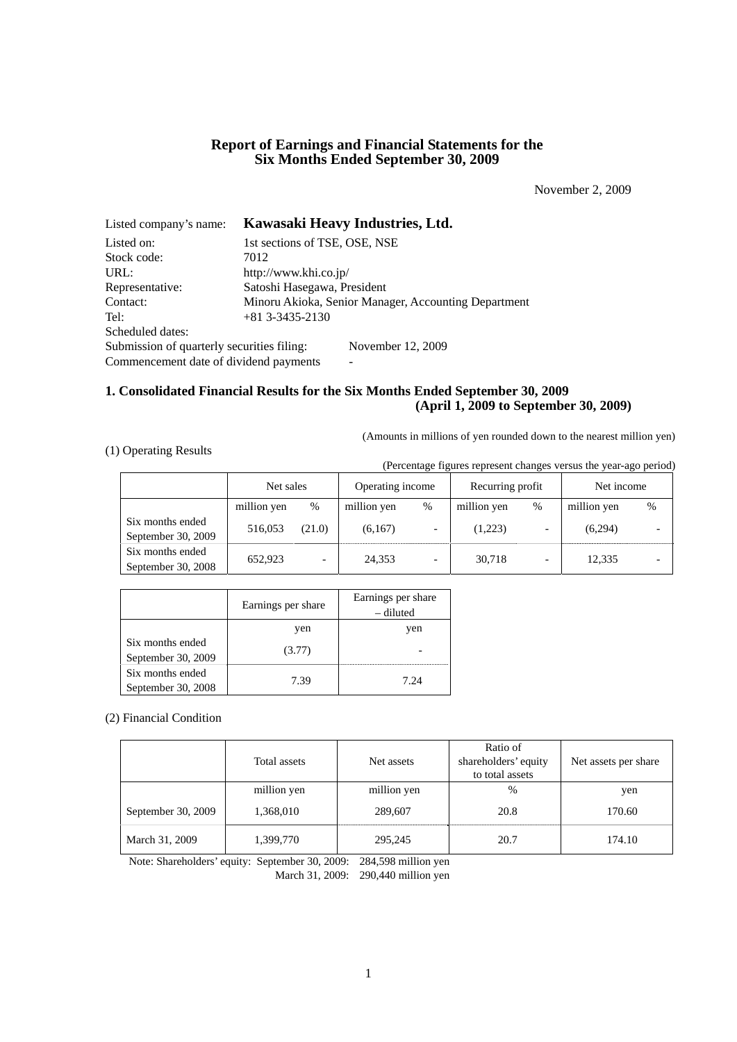# **Report of Earnings and Financial Statements for the Six Months Ended September 30, 2009**

November 2, 2009

| Listed company's name:                     | Kawasaki Heavy Industries, Ltd.                      |  |  |
|--------------------------------------------|------------------------------------------------------|--|--|
| Listed on:                                 | 1st sections of TSE, OSE, NSE                        |  |  |
| Stock code:                                | 7012                                                 |  |  |
| URL:                                       | http://www.khi.co.jp/                                |  |  |
| Representative:                            | Satoshi Hasegawa, President                          |  |  |
| Contact:                                   | Minoru Akioka, Senior Manager, Accounting Department |  |  |
| Tel:                                       | $+81$ 3-3435-2130                                    |  |  |
| Scheduled dates:                           |                                                      |  |  |
| Submission of quarterly securities filing: | November 12, 2009                                    |  |  |
| Commencement date of dividend payments     |                                                      |  |  |

# **1. Consolidated Financial Results for the Six Months Ended September 30, 2009 (April 1, 2009 to September 30, 2009)**

(Amounts in millions of yen rounded down to the nearest million yen)

# (1) Operating Results

(Percentage figures represent changes versus the year-ago period)

|                                        | Net sales   |        | Operating income |   | Recurring profit |      | Net income  |   |
|----------------------------------------|-------------|--------|------------------|---|------------------|------|-------------|---|
|                                        | million yen | %      | million yen      | % | million yen      | $\%$ | million yen | % |
| Six months ended<br>September 30, 2009 | 516,053     | (21.0) | (6,167)          |   | (1,223)          |      | (6,294)     |   |
| Six months ended<br>September 30, 2008 | 652,923     |        | 24,353           |   | 30,718           |      | 12,335      |   |

|                                        | Earnings per share | Earnings per share<br>– diluted |
|----------------------------------------|--------------------|---------------------------------|
|                                        | yen                | yen                             |
| Six months ended<br>September 30, 2009 | (3.77)             |                                 |
| Six months ended<br>September 30, 2008 | 7.39               | 7.24                            |

(2) Financial Condition

|                    | Total assets | Net assets  | Ratio of<br>shareholders' equity<br>to total assets | Net assets per share |
|--------------------|--------------|-------------|-----------------------------------------------------|----------------------|
|                    | million yen  | million yen | $\%$                                                | yen                  |
| September 30, 2009 | 1,368,010    | 289,607     | 20.8                                                | 170.60               |
| March 31, 2009     | 1,399,770    | 295,245     | 20.7                                                | 174.10               |

Note: Shareholders' equity: September 30, 2009: 284,598 million yen

March 31, 2009: 290,440 million yen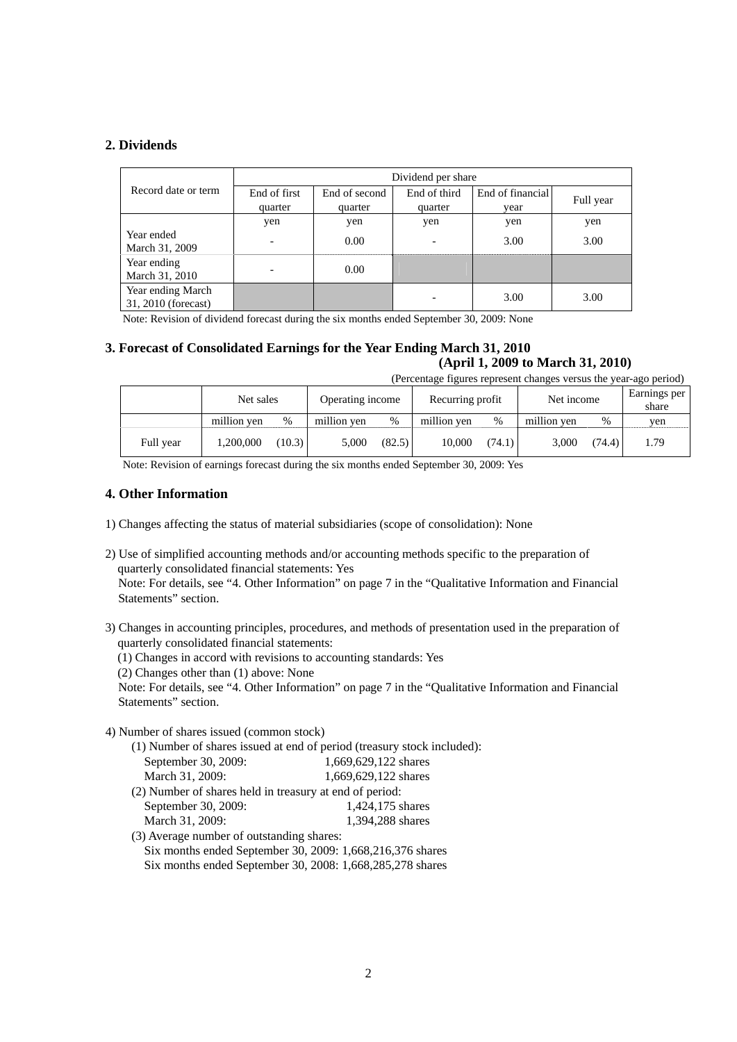# **2. Dividends**

|                                          | Dividend per share       |               |              |                  |           |  |
|------------------------------------------|--------------------------|---------------|--------------|------------------|-----------|--|
| Record date or term                      | End of first             | End of second | End of third | End of financial | Full year |  |
|                                          | quarter                  | quarter       | quarter      | vear             |           |  |
|                                          | yen                      | yen           | yen          | yen              | yen       |  |
| Year ended<br>March 31, 2009             | $\overline{\phantom{a}}$ | 0.00          | ۰            | 3.00             | 3.00      |  |
| Year ending<br>March 31, 2010            |                          | 0.00          |              |                  |           |  |
| Year ending March<br>31, 2010 (forecast) |                          |               |              | 3.00             | 3.00      |  |

Note: Revision of dividend forecast during the six months ended September 30, 2009: None

# **3. Forecast of Consolidated Earnings for the Year Ending March 31, 2010 (April 1, 2009 to March 31, 2010)**

(Percentage figures represent changes versus the year-ago period)

|           | Net sales   |        | Operating income |        | Recurring profit |        | Net income  |        | Earnings per<br>share |
|-----------|-------------|--------|------------------|--------|------------------|--------|-------------|--------|-----------------------|
|           | million yen | %      | million yen      | %      | million yen      | $\%$   | million yen | %      | ven                   |
| Full year | 1.200.000   | (10.3) | 5.000            | (82.5) | 10.000           | (74.1) | 3.000       | (74.4) | 1.79                  |

Note: Revision of earnings forecast during the six months ended September 30, 2009: Yes

# **4. Other Information**

- 1) Changes affecting the status of material subsidiaries (scope of consolidation): None
- 2) Use of simplified accounting methods and/or accounting methods specific to the preparation of quarterly consolidated financial statements: Yes Note: For details, see "4. Other Information" on page 7 in the "Qualitative Information and Financial Statements" section.
- 3) Changes in accounting principles, procedures, and methods of presentation used in the preparation of quarterly consolidated financial statements:
	- (1) Changes in accord with revisions to accounting standards: Yes
	- (2) Changes other than (1) above: None

Note: For details, see "4. Other Information" on page 7 in the "Qualitative Information and Financial Statements" section.

4) Number of shares issued (common stock)

(1) Number of shares issued at end of period (treasury stock included):

| September 30, 2009:                                     | 1,669,629,122 shares |
|---------------------------------------------------------|----------------------|
| March 31, 2009:                                         | 1,669,629,122 shares |
| (2) Number of shares held in treasury at end of period: |                      |
| September 30, 2009:                                     | 1,424,175 shares     |

- March 31, 2009: 1,394,288 shares
- (3) Average number of outstanding shares:
	- Six months ended September 30, 2009: 1,668,216,376 shares
	- Six months ended September 30, 2008: 1,668,285,278 shares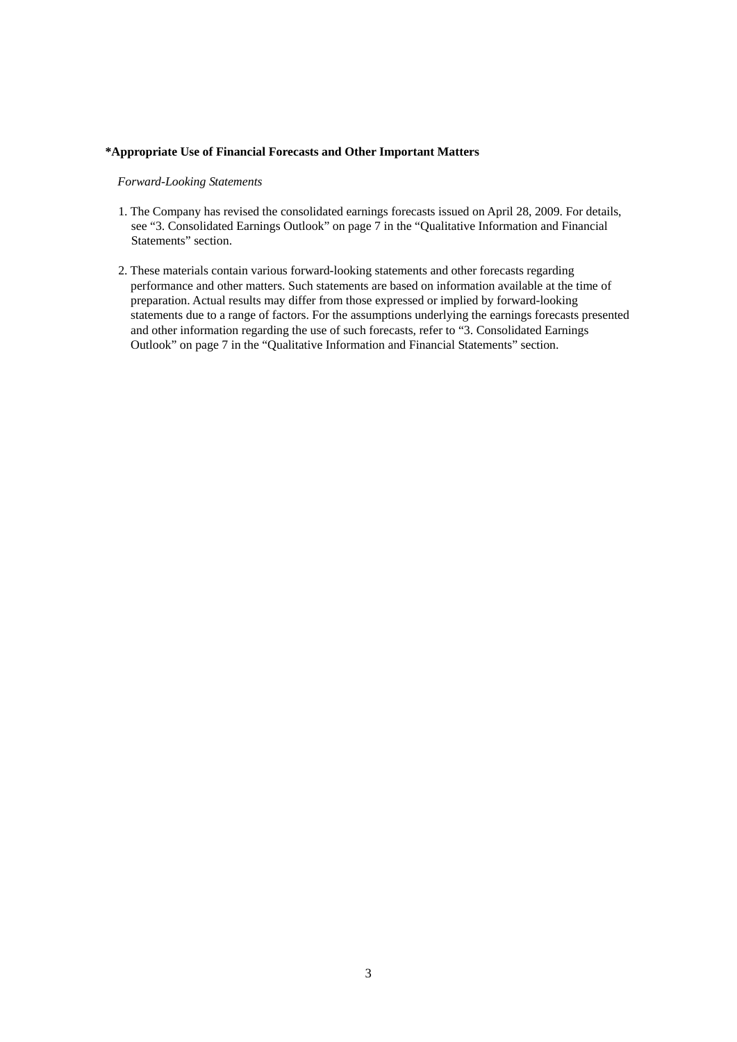### **\*Appropriate Use of Financial Forecasts and Other Important Matters**

## *Forward-Looking Statements*

- 1. The Company has revised the consolidated earnings forecasts issued on April 28, 2009. For details, see "3. Consolidated Earnings Outlook" on page 7 in the "Qualitative Information and Financial Statements" section.
- 2. These materials contain various forward-looking statements and other forecasts regarding performance and other matters. Such statements are based on information available at the time of preparation. Actual results may differ from those expressed or implied by forward-looking statements due to a range of factors. For the assumptions underlying the earnings forecasts presented and other information regarding the use of such forecasts, refer to "3. Consolidated Earnings Outlook" on page 7 in the "Qualitative Information and Financial Statements" section.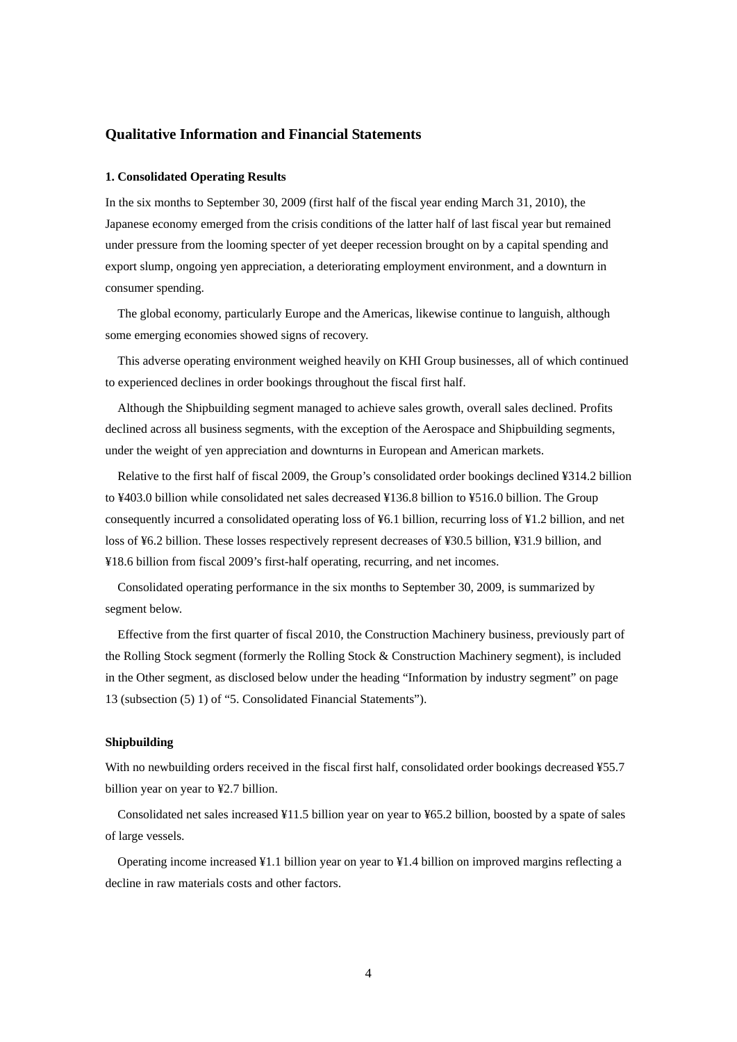## **Qualitative Information and Financial Statements**

### **1. Consolidated Operating Results**

In the six months to September 30, 2009 (first half of the fiscal year ending March 31, 2010), the Japanese economy emerged from the crisis conditions of the latter half of last fiscal year but remained under pressure from the looming specter of yet deeper recession brought on by a capital spending and export slump, ongoing yen appreciation, a deteriorating employment environment, and a downturn in consumer spending.

The global economy, particularly Europe and the Americas, likewise continue to languish, although some emerging economies showed signs of recovery.

This adverse operating environment weighed heavily on KHI Group businesses, all of which continued to experienced declines in order bookings throughout the fiscal first half.

Although the Shipbuilding segment managed to achieve sales growth, overall sales declined. Profits declined across all business segments, with the exception of the Aerospace and Shipbuilding segments, under the weight of yen appreciation and downturns in European and American markets.

Relative to the first half of fiscal 2009, the Group's consolidated order bookings declined ¥314.2 billion to ¥403.0 billion while consolidated net sales decreased ¥136.8 billion to ¥516.0 billion. The Group consequently incurred a consolidated operating loss of ¥6.1 billion, recurring loss of ¥1.2 billion, and net loss of ¥6.2 billion. These losses respectively represent decreases of ¥30.5 billion, ¥31.9 billion, and ¥18.6 billion from fiscal 2009's first-half operating, recurring, and net incomes.

Consolidated operating performance in the six months to September 30, 2009, is summarized by segment below.

Effective from the first quarter of fiscal 2010, the Construction Machinery business, previously part of the Rolling Stock segment (formerly the Rolling Stock & Construction Machinery segment), is included in the Other segment, as disclosed below under the heading "Information by industry segment" on page 13 (subsection (5) 1) of "5. Consolidated Financial Statements").

### **Shipbuilding**

With no newbuilding orders received in the fiscal first half, consolidated order bookings decreased ¥55.7 billion year on year to ¥2.7 billion.

Consolidated net sales increased ¥11.5 billion year on year to ¥65.2 billion, boosted by a spate of sales of large vessels.

Operating income increased ¥1.1 billion year on year to ¥1.4 billion on improved margins reflecting a decline in raw materials costs and other factors.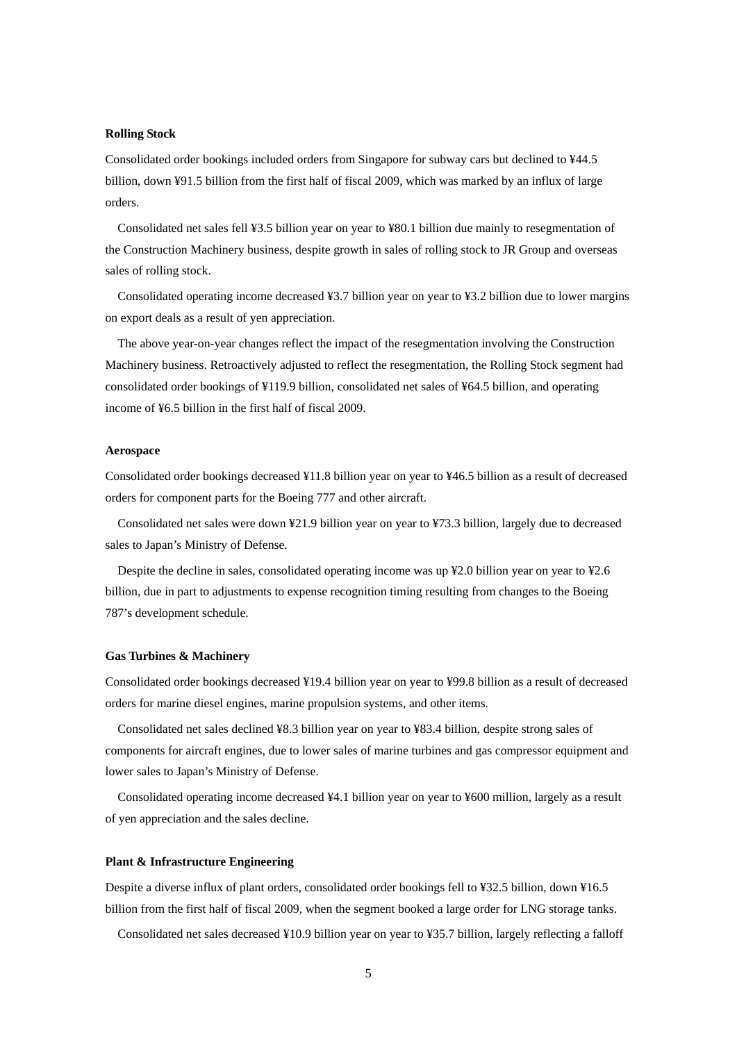### **Rolling Stock**

Consolidated order bookings included orders from Singapore for subway cars but declined to ¥44.5 billion, down ¥91.5 billion from the first half of fiscal 2009, which was marked by an influx of large orders.

Consolidated net sales fell ¥3.5 billion year on year to ¥80.1 billion due mainly to resegmentation of the Construction Machinery business, despite growth in sales of rolling stock to JR Group and overseas sales of rolling stock.

Consolidated operating income decreased ¥3.7 billion year on year to ¥3.2 billion due to lower margins on export deals as a result of yen appreciation.

The above year-on-year changes reflect the impact of the resegmentation involving the Construction Machinery business. Retroactively adjusted to reflect the resegmentation, the Rolling Stock segment had consolidated order bookings of ¥119.9 billion, consolidated net sales of ¥64.5 billion, and operating income of ¥6.5 billion in the first half of fiscal 2009.

#### **Aerospace**

Consolidated order bookings decreased ¥11.8 billion year on year to ¥46.5 billion as a result of decreased orders for component parts for the Boeing 777 and other aircraft.

Consolidated net sales were down ¥21.9 billion year on year to ¥73.3 billion, largely due to decreased sales to Japan's Ministry of Defense.

Despite the decline in sales, consolidated operating income was up ¥2.0 billion year on year to ¥2.6 billion, due in part to adjustments to expense recognition timing resulting from changes to the Boeing 787's development schedule.

## **Gas Turbines & Machinery**

Consolidated order bookings decreased ¥19.4 billion year on year to ¥99.8 billion as a result of decreased orders for marine diesel engines, marine propulsion systems, and other items.

Consolidated net sales declined ¥8.3 billion year on year to ¥83.4 billion, despite strong sales of components for aircraft engines, due to lower sales of marine turbines and gas compressor equipment and lower sales to Japan's Ministry of Defense.

Consolidated operating income decreased ¥4.1 billion year on year to ¥600 million, largely as a result of yen appreciation and the sales decline.

## **Plant & Infrastructure Engineering**

Despite a diverse influx of plant orders, consolidated order bookings fell to ¥32.5 billion, down ¥16.5 billion from the first half of fiscal 2009, when the segment booked a large order for LNG storage tanks.

Consolidated net sales decreased ¥10.9 billion year on year to ¥35.7 billion, largely reflecting a falloff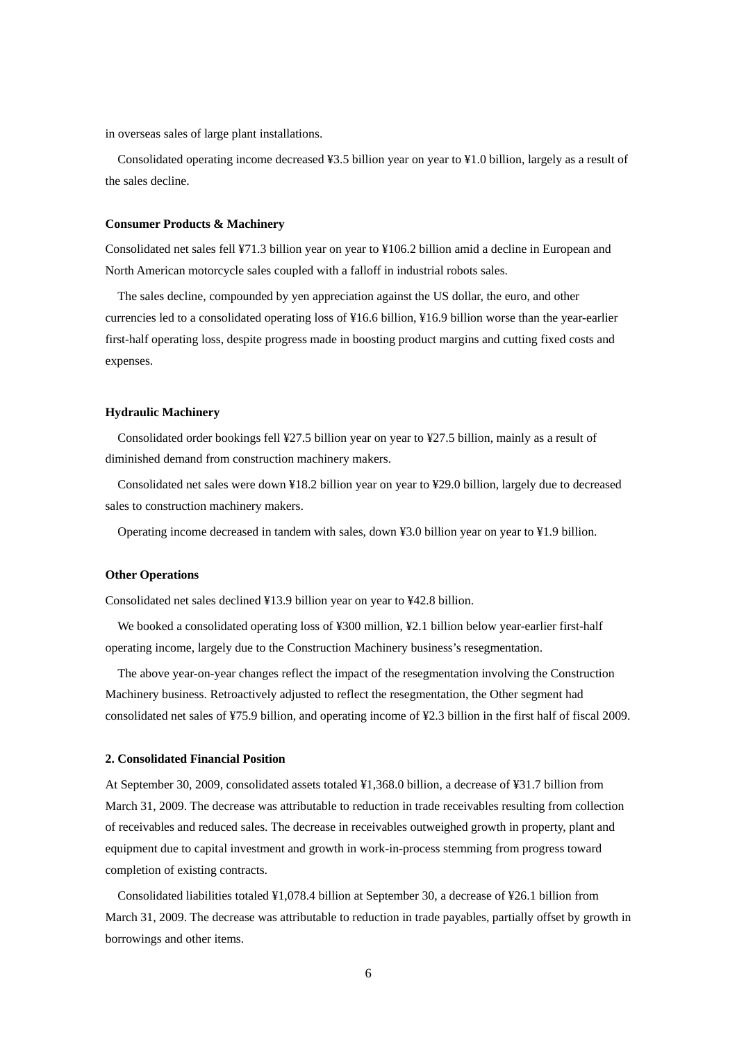in overseas sales of large plant installations.

Consolidated operating income decreased ¥3.5 billion year on year to ¥1.0 billion, largely as a result of the sales decline.

### **Consumer Products & Machinery**

Consolidated net sales fell ¥71.3 billion year on year to ¥106.2 billion amid a decline in European and North American motorcycle sales coupled with a falloff in industrial robots sales.

The sales decline, compounded by yen appreciation against the US dollar, the euro, and other currencies led to a consolidated operating loss of ¥16.6 billion, ¥16.9 billion worse than the year-earlier first-half operating loss, despite progress made in boosting product margins and cutting fixed costs and expenses.

### **Hydraulic Machinery**

Consolidated order bookings fell ¥27.5 billion year on year to ¥27.5 billion, mainly as a result of diminished demand from construction machinery makers.

Consolidated net sales were down ¥18.2 billion year on year to ¥29.0 billion, largely due to decreased sales to construction machinery makers.

Operating income decreased in tandem with sales, down ¥3.0 billion year on year to ¥1.9 billion.

## **Other Operations**

Consolidated net sales declined ¥13.9 billion year on year to ¥42.8 billion.

We booked a consolidated operating loss of ¥300 million, ¥2.1 billion below year-earlier first-half operating income, largely due to the Construction Machinery business's resegmentation.

The above year-on-year changes reflect the impact of the resegmentation involving the Construction Machinery business. Retroactively adjusted to reflect the resegmentation, the Other segment had consolidated net sales of ¥75.9 billion, and operating income of ¥2.3 billion in the first half of fiscal 2009.

### **2. Consolidated Financial Position**

At September 30, 2009, consolidated assets totaled ¥1,368.0 billion, a decrease of ¥31.7 billion from March 31, 2009. The decrease was attributable to reduction in trade receivables resulting from collection of receivables and reduced sales. The decrease in receivables outweighed growth in property, plant and equipment due to capital investment and growth in work-in-process stemming from progress toward completion of existing contracts.

Consolidated liabilities totaled ¥1,078.4 billion at September 30, a decrease of ¥26.1 billion from March 31, 2009. The decrease was attributable to reduction in trade payables, partially offset by growth in borrowings and other items.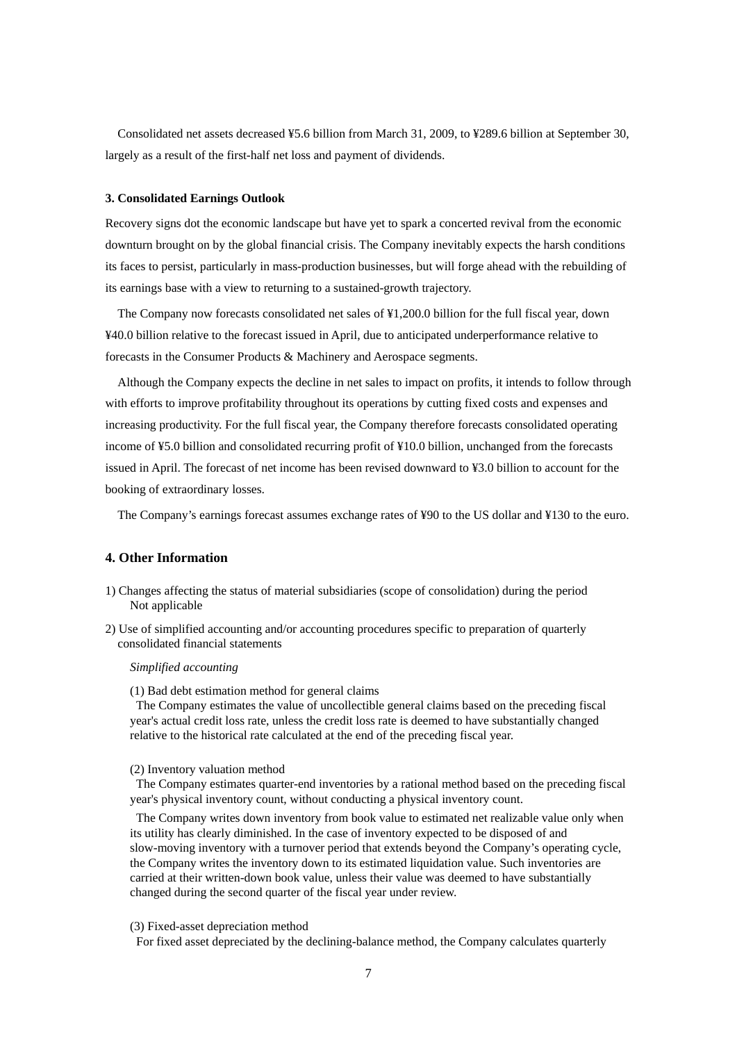Consolidated net assets decreased ¥5.6 billion from March 31, 2009, to ¥289.6 billion at September 30, largely as a result of the first-half net loss and payment of dividends.

### **3. Consolidated Earnings Outlook**

Recovery signs dot the economic landscape but have yet to spark a concerted revival from the economic downturn brought on by the global financial crisis. The Company inevitably expects the harsh conditions its faces to persist, particularly in mass-production businesses, but will forge ahead with the rebuilding of its earnings base with a view to returning to a sustained-growth trajectory.

The Company now forecasts consolidated net sales of ¥1,200.0 billion for the full fiscal year, down ¥40.0 billion relative to the forecast issued in April, due to anticipated underperformance relative to forecasts in the Consumer Products & Machinery and Aerospace segments.

Although the Company expects the decline in net sales to impact on profits, it intends to follow through with efforts to improve profitability throughout its operations by cutting fixed costs and expenses and increasing productivity. For the full fiscal year, the Company therefore forecasts consolidated operating income of ¥5.0 billion and consolidated recurring profit of ¥10.0 billion, unchanged from the forecasts issued in April. The forecast of net income has been revised downward to ¥3.0 billion to account for the booking of extraordinary losses.

The Company's earnings forecast assumes exchange rates of ¥90 to the US dollar and ¥130 to the euro.

# **4. Other Information**

- 1) Changes affecting the status of material subsidiaries (scope of consolidation) during the period Not applicable
- 2) Use of simplified accounting and/or accounting procedures specific to preparation of quarterly consolidated financial statements

### *Simplified accounting*

(1) Bad debt estimation method for general claims

The Company estimates the value of uncollectible general claims based on the preceding fiscal year's actual credit loss rate, unless the credit loss rate is deemed to have substantially changed relative to the historical rate calculated at the end of the preceding fiscal year.

#### (2) Inventory valuation method

The Company estimates quarter-end inventories by a rational method based on the preceding fiscal year's physical inventory count, without conducting a physical inventory count.

The Company writes down inventory from book value to estimated net realizable value only when its utility has clearly diminished. In the case of inventory expected to be disposed of and slow-moving inventory with a turnover period that extends beyond the Company's operating cycle, the Company writes the inventory down to its estimated liquidation value. Such inventories are carried at their written-down book value, unless their value was deemed to have substantially changed during the second quarter of the fiscal year under review.

### (3) Fixed-asset depreciation method

For fixed asset depreciated by the declining-balance method, the Company calculates quarterly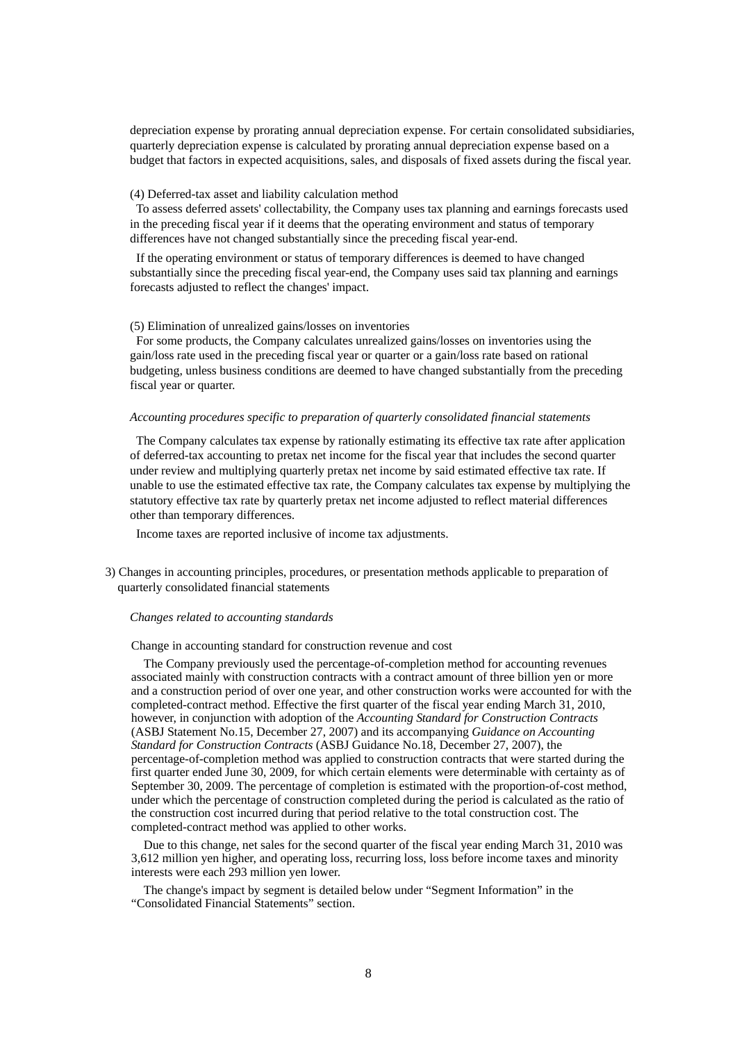depreciation expense by prorating annual depreciation expense. For certain consolidated subsidiaries, quarterly depreciation expense is calculated by prorating annual depreciation expense based on a budget that factors in expected acquisitions, sales, and disposals of fixed assets during the fiscal year.

### (4) Deferred-tax asset and liability calculation method

To assess deferred assets' collectability, the Company uses tax planning and earnings forecasts used in the preceding fiscal year if it deems that the operating environment and status of temporary differences have not changed substantially since the preceding fiscal year-end.

If the operating environment or status of temporary differences is deemed to have changed substantially since the preceding fiscal year-end, the Company uses said tax planning and earnings forecasts adjusted to reflect the changes' impact.

### (5) Elimination of unrealized gains/losses on inventories

For some products, the Company calculates unrealized gains/losses on inventories using the gain/loss rate used in the preceding fiscal year or quarter or a gain/loss rate based on rational budgeting, unless business conditions are deemed to have changed substantially from the preceding fiscal year or quarter.

## *Accounting procedures specific to preparation of quarterly consolidated financial statements*

The Company calculates tax expense by rationally estimating its effective tax rate after application of deferred-tax accounting to pretax net income for the fiscal year that includes the second quarter under review and multiplying quarterly pretax net income by said estimated effective tax rate. If unable to use the estimated effective tax rate, the Company calculates tax expense by multiplying the statutory effective tax rate by quarterly pretax net income adjusted to reflect material differences other than temporary differences.

Income taxes are reported inclusive of income tax adjustments.

3) Changes in accounting principles, procedures, or presentation methods applicable to preparation of quarterly consolidated financial statements

### *Changes related to accounting standards*

Change in accounting standard for construction revenue and cost

The Company previously used the percentage-of-completion method for accounting revenues associated mainly with construction contracts with a contract amount of three billion yen or more and a construction period of over one year, and other construction works were accounted for with the completed-contract method. Effective the first quarter of the fiscal year ending March 31, 2010, however, in conjunction with adoption of the *Accounting Standard for Construction Contracts*  (ASBJ Statement No.15, December 27, 2007) and its accompanying *Guidance on Accounting Standard for Construction Contracts* (ASBJ Guidance No.18, December 27, 2007), the percentage-of-completion method was applied to construction contracts that were started during the first quarter ended June 30, 2009, for which certain elements were determinable with certainty as of September 30, 2009. The percentage of completion is estimated with the proportion-of-cost method, under which the percentage of construction completed during the period is calculated as the ratio of the construction cost incurred during that period relative to the total construction cost. The completed-contract method was applied to other works.

Due to this change, net sales for the second quarter of the fiscal year ending March 31, 2010 was 3,612 million yen higher, and operating loss, recurring loss, loss before income taxes and minority interests were each 293 million yen lower.

The change's impact by segment is detailed below under "Segment Information" in the "Consolidated Financial Statements" section.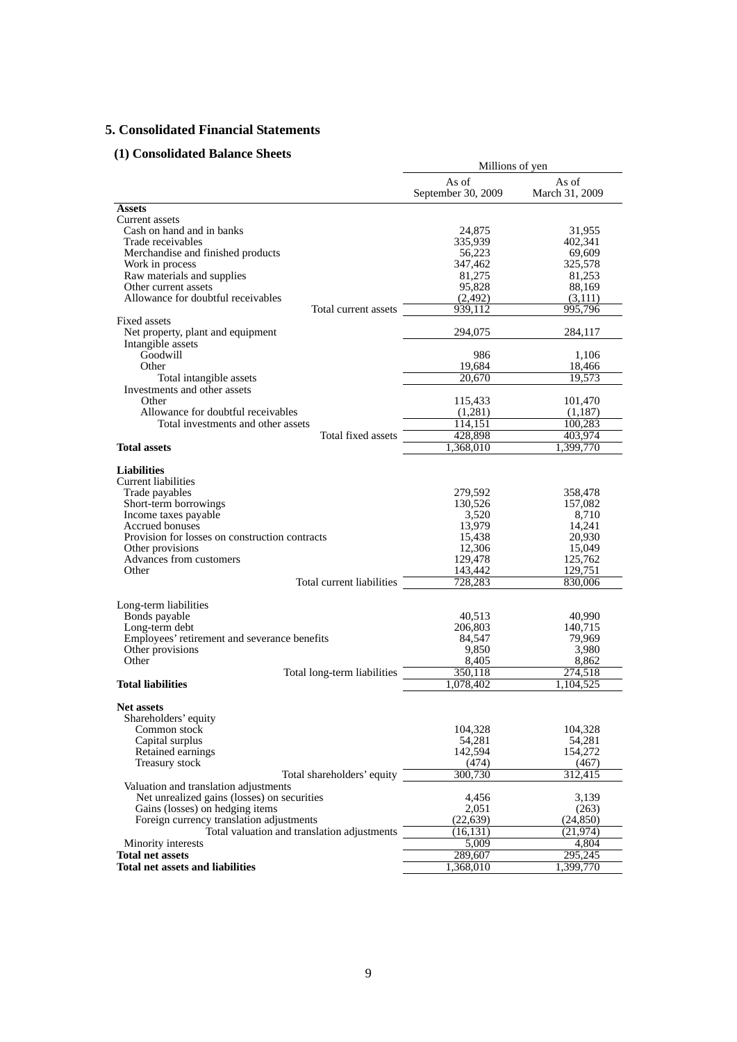# **5. Consolidated Financial Statements**

# **(1) Consolidated Balance Sheets**

| onsonuateu Danance Oncets                                                            | Millions of yen             |                         |  |
|--------------------------------------------------------------------------------------|-----------------------------|-------------------------|--|
|                                                                                      | As of<br>September 30, 2009 | As of<br>March 31, 2009 |  |
| Assets                                                                               |                             |                         |  |
| Current assets                                                                       |                             |                         |  |
| Cash on hand and in banks                                                            | 24,875                      | 31,955                  |  |
| Trade receivables                                                                    | 335,939                     | 402,341                 |  |
| Merchandise and finished products                                                    | 56,223                      | 69,609                  |  |
| Work in process                                                                      | 347,462<br>81,275           | 325,578                 |  |
| Raw materials and supplies<br>Other current assets                                   | 95,828                      | 81,253<br>88,169        |  |
| Allowance for doubtful receivables                                                   | (2, 492)                    | (3,111)                 |  |
| Total current assets                                                                 | 939,112                     | 995,796                 |  |
| Fixed assets                                                                         |                             |                         |  |
| Net property, plant and equipment                                                    | 294,075                     | 284,117                 |  |
| Intangible assets                                                                    |                             |                         |  |
| Goodwill                                                                             | 986                         | 1,106                   |  |
| Other                                                                                | 19,684                      | 18,466                  |  |
| Total intangible assets                                                              | 20,670                      | 19,573                  |  |
| Investments and other assets                                                         |                             |                         |  |
| Other                                                                                | 115,433                     | 101,470                 |  |
| Allowance for doubtful receivables                                                   | (1,281)                     | (1,187)                 |  |
| Total investments and other assets                                                   | 114,151                     | 100,283                 |  |
| Total fixed assets                                                                   | 428,898                     | 403,974                 |  |
| <b>Total assets</b>                                                                  | ,368,010                    | ,399,770                |  |
| <b>Liabilities</b><br>Current liabilities                                            |                             |                         |  |
| Trade payables                                                                       | 279,592<br>130,526          | 358,478<br>157,082      |  |
| Short-term borrowings<br>Income taxes payable                                        | 3,520                       | 8,710                   |  |
| Accrued bonuses                                                                      | 13,979                      | 14,241                  |  |
| Provision for losses on construction contracts                                       | 15,438                      | 20,930                  |  |
| Other provisions                                                                     | 12,306                      | 15,049                  |  |
| Advances from customers                                                              | 129,478                     | 125,762                 |  |
| Other                                                                                | 143,442                     | 129,751                 |  |
| Total current liabilities                                                            | 728,283                     | 830,006                 |  |
| Long-term liabilities<br>Bonds payable                                               | 40,513                      | 40,990                  |  |
| Long-term debt                                                                       | 206,803                     | 140,715                 |  |
| Employees' retirement and severance benefits                                         | 84,547                      | 79,969                  |  |
| Other provisions                                                                     | 9,850                       | 3,980                   |  |
| Other                                                                                | 8,405                       | 8,862                   |  |
| Total long-term liabilities                                                          | 350,118                     | 274,518                 |  |
| <b>Total liabilities</b>                                                             | 1,078,402                   | 1,104,525               |  |
| <b>Net assets</b><br>Shareholders' equity                                            |                             |                         |  |
| Common stock                                                                         | 104,328                     | 104,328                 |  |
| Capital surplus                                                                      | 54,281                      | 54,281                  |  |
| Retained earnings                                                                    | 142,594                     | 154,272                 |  |
| Treasury stock                                                                       | (474)                       | (467)                   |  |
| Total shareholders' equity                                                           | 300,730                     | 312,415                 |  |
| Valuation and translation adjustments<br>Net unrealized gains (losses) on securities | 4,456                       | 3,139                   |  |
| Gains (losses) on hedging items                                                      | 2,051                       | (263)                   |  |
| Foreign currency translation adjustments                                             | (22, 639)                   | (24, 850)               |  |
| Total valuation and translation adjustments                                          | (16, 131)                   | (21, 974)               |  |
| Minority interests                                                                   | 5.009                       | 4,804                   |  |
| <b>Total net assets</b>                                                              | 289,607                     | 295,245                 |  |
| <b>Total net assets and liabilities</b>                                              | ,368,010                    | ,399,770                |  |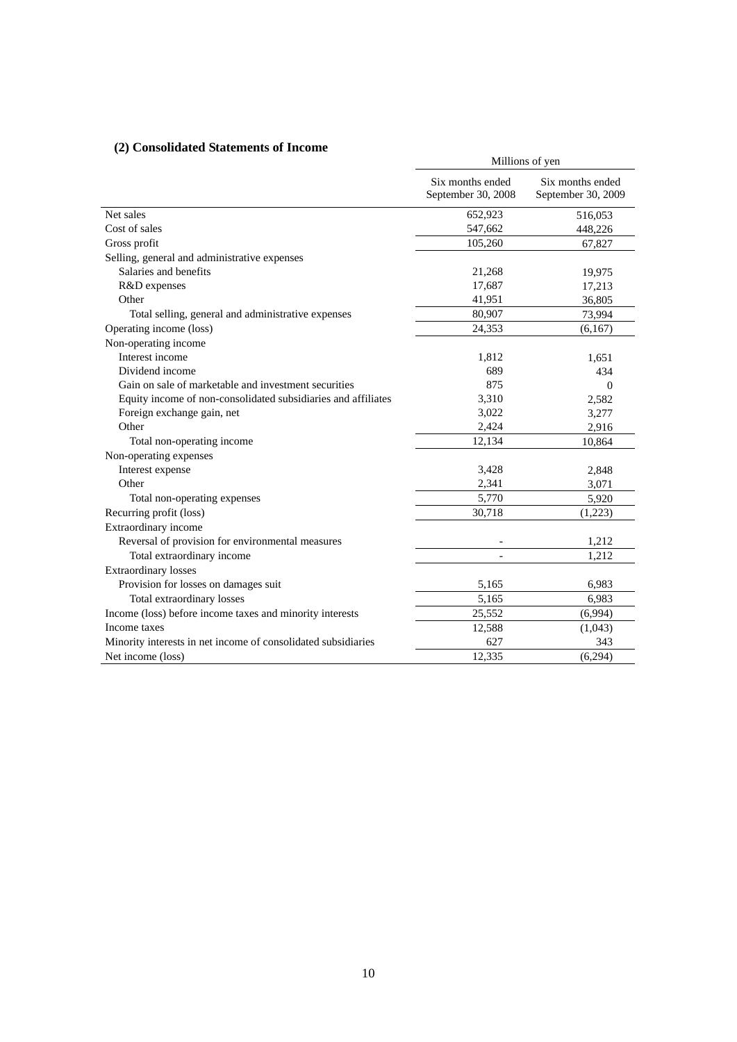# **(2) Consolidated Statements of Income**

| Consonuated biatements of income                              | Millions of yen                        |                                        |  |
|---------------------------------------------------------------|----------------------------------------|----------------------------------------|--|
|                                                               | Six months ended<br>September 30, 2008 | Six months ended<br>September 30, 2009 |  |
| Net sales                                                     | 652,923                                | 516,053                                |  |
| Cost of sales                                                 | 547,662                                | 448,226                                |  |
| Gross profit                                                  | 105,260                                | 67,827                                 |  |
| Selling, general and administrative expenses                  |                                        |                                        |  |
| Salaries and benefits                                         | 21,268                                 | 19,975                                 |  |
| R&D expenses                                                  | 17,687                                 | 17,213                                 |  |
| Other                                                         | 41,951                                 | 36,805                                 |  |
| Total selling, general and administrative expenses            | 80,907                                 | 73,994                                 |  |
| Operating income (loss)                                       | 24,353                                 | (6,167)                                |  |
| Non-operating income                                          |                                        |                                        |  |
| Interest income                                               | 1,812                                  | 1,651                                  |  |
| Dividend income                                               | 689                                    | 434                                    |  |
| Gain on sale of marketable and investment securities          | 875                                    | $\mathbf{0}$                           |  |
| Equity income of non-consolidated subsidiaries and affiliates | 3,310                                  | 2,582                                  |  |
| Foreign exchange gain, net                                    | 3,022                                  | 3,277                                  |  |
| Other                                                         | 2,424                                  | 2,916                                  |  |
| Total non-operating income                                    | 12,134                                 | 10,864                                 |  |
| Non-operating expenses                                        |                                        |                                        |  |
| Interest expense                                              | 3,428                                  | 2,848                                  |  |
| Other                                                         | 2,341                                  | 3,071                                  |  |
| Total non-operating expenses                                  | 5,770                                  | 5,920                                  |  |
| Recurring profit (loss)                                       | 30,718                                 | (1,223)                                |  |
| Extraordinary income                                          |                                        |                                        |  |
| Reversal of provision for environmental measures              |                                        | 1,212                                  |  |
| Total extraordinary income                                    |                                        | 1.212                                  |  |
| <b>Extraordinary losses</b>                                   |                                        |                                        |  |
| Provision for losses on damages suit                          | 5,165                                  | 6,983                                  |  |
| Total extraordinary losses                                    | 5,165                                  | 6,983                                  |  |
| Income (loss) before income taxes and minority interests      | 25,552                                 | (6,994)                                |  |
| Income taxes                                                  | 12,588                                 | (1,043)                                |  |
| Minority interests in net income of consolidated subsidiaries | 627                                    | 343                                    |  |
| Net income (loss)                                             | 12,335                                 | (6,294)                                |  |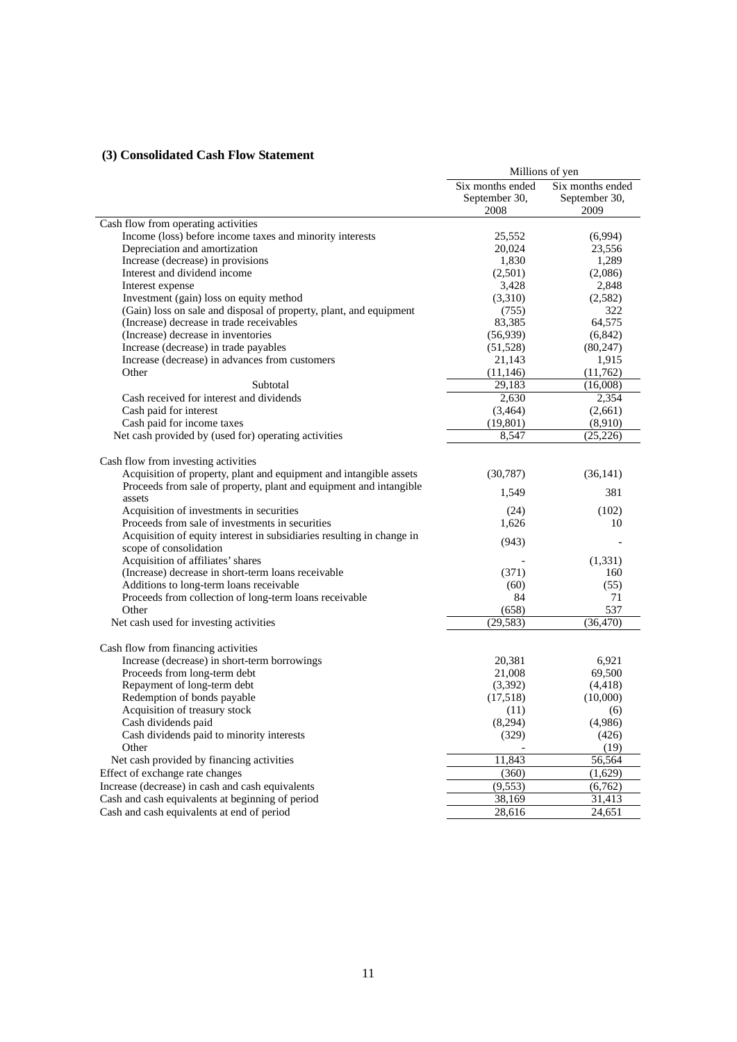# **(3) Consolidated Cash Flow Statement**

|                                                                       | Millions of yen  |                  |  |
|-----------------------------------------------------------------------|------------------|------------------|--|
|                                                                       | Six months ended | Six months ended |  |
|                                                                       | September 30,    | September 30,    |  |
|                                                                       | 2008             | 2009             |  |
| Cash flow from operating activities                                   |                  |                  |  |
| Income (loss) before income taxes and minority interests              | 25,552           | (6,994)          |  |
| Depreciation and amortization                                         | 20,024           | 23,556           |  |
| Increase (decrease) in provisions                                     | 1,830            | 1,289            |  |
| Interest and dividend income                                          | (2,501)          | (2,086)          |  |
| Interest expense                                                      | 3,428            | 2,848            |  |
| Investment (gain) loss on equity method                               | (3,310)          | (2,582)          |  |
| (Gain) loss on sale and disposal of property, plant, and equipment    | (755)            | 322              |  |
| (Increase) decrease in trade receivables                              | 83,385           | 64,575           |  |
| (Increase) decrease in inventories                                    | (56, 939)        | (6, 842)         |  |
| Increase (decrease) in trade payables                                 | (51, 528)        | (80, 247)        |  |
| Increase (decrease) in advances from customers                        | 21,143           | 1,915            |  |
| Other                                                                 | (11, 146)        | (11, 762)        |  |
| Subtotal                                                              | 29,183           | (16,008)         |  |
| Cash received for interest and dividends                              | 2,630            | 2,354            |  |
| Cash paid for interest                                                | (3,464)          | (2,661)          |  |
| Cash paid for income taxes                                            | (19, 801)        | (8,910)          |  |
| Net cash provided by (used for) operating activities                  | 8,547            | (25, 226)        |  |
|                                                                       |                  |                  |  |
| Cash flow from investing activities                                   |                  |                  |  |
| Acquisition of property, plant and equipment and intangible assets    | (30, 787)        | (36, 141)        |  |
| Proceeds from sale of property, plant and equipment and intangible    | 1,549            | 381              |  |
| assets                                                                |                  |                  |  |
| Acquisition of investments in securities                              | (24)             | (102)            |  |
| Proceeds from sale of investments in securities                       | 1,626            | 10               |  |
| Acquisition of equity interest in subsidiaries resulting in change in | (943)            |                  |  |
| scope of consolidation                                                |                  |                  |  |
| Acquisition of affiliates' shares                                     |                  | (1,331)          |  |
| (Increase) decrease in short-term loans receivable                    | (371)            | 160              |  |
| Additions to long-term loans receivable                               | (60)             | (55)             |  |
| Proceeds from collection of long-term loans receivable                | 84               | 71               |  |
| Other                                                                 | (658)            | 537              |  |
| Net cash used for investing activities                                | (29, 583)        | (36, 470)        |  |
|                                                                       |                  |                  |  |
| Cash flow from financing activities                                   |                  |                  |  |
| Increase (decrease) in short-term borrowings                          | 20,381           | 6,921            |  |
| Proceeds from long-term debt                                          | 21,008           | 69,500           |  |
| Repayment of long-term debt                                           | (3,392)          | (4, 418)         |  |
| Redemption of bonds payable                                           | (17,518)         | (10,000)         |  |
| Acquisition of treasury stock                                         | (11)             | (6)              |  |
| Cash dividends paid                                                   | (8,294)          | (4,986)          |  |
| Cash dividends paid to minority interests                             | (329)            | (426)            |  |
| Other                                                                 |                  | (19)             |  |
| Net cash provided by financing activities                             | 11,843           | 56,564           |  |
| Effect of exchange rate changes                                       | (360)            | (1,629)          |  |
| Increase (decrease) in cash and cash equivalents                      | (9, 553)         | (6,762)          |  |
| Cash and cash equivalents at beginning of period                      | 38,169           | 31,413           |  |
| Cash and cash equivalents at end of period                            | 28,616           | 24,651           |  |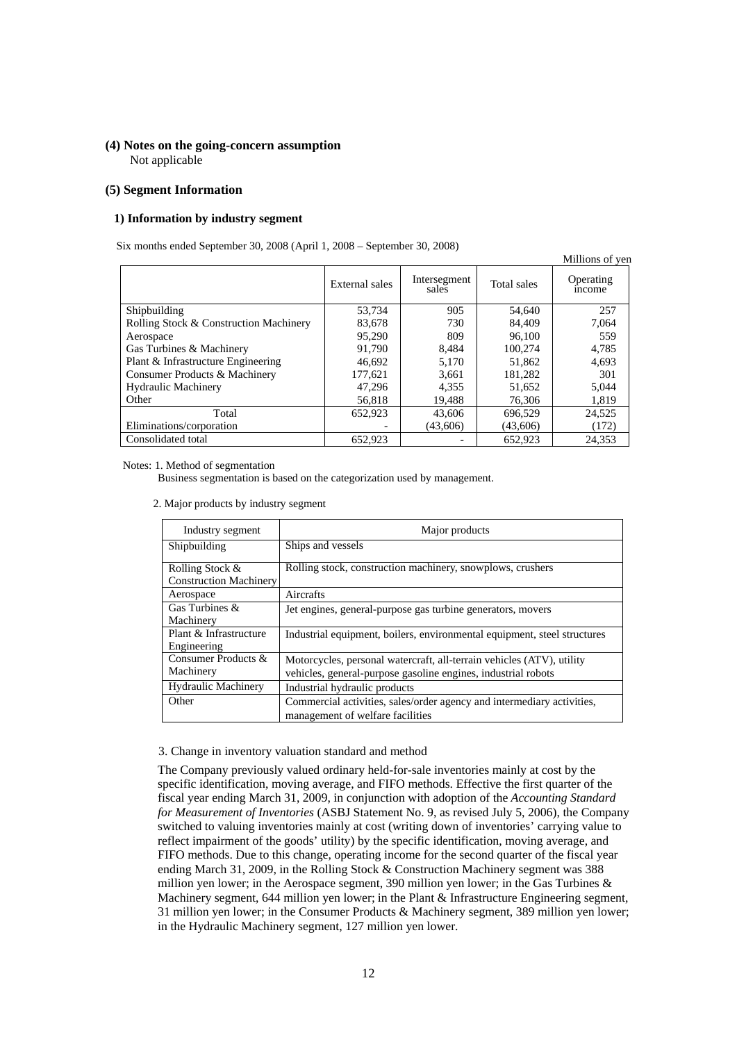## **(4) Notes on the going-concern assumption**  Not applicable

## **(5) Segment Information**

### **1) Information by industry segment**

Six months ended September 30, 2008 (April 1, 2008 – September 30, 2008)

|                                        |                |                       |             | Millions of yen           |
|----------------------------------------|----------------|-----------------------|-------------|---------------------------|
|                                        | External sales | Intersegment<br>sales | Total sales | Operating<br><i>ncome</i> |
| Shipbuilding                           | 53,734         | 905                   | 54,640      | 257                       |
| Rolling Stock & Construction Machinery | 83,678         | 730                   | 84,409      | 7.064                     |
| Aerospace                              | 95.290         | 809                   | 96,100      | 559                       |
| Gas Turbines & Machinery               | 91.790         | 8,484                 | 100.274     | 4,785                     |
| Plant & Infrastructure Engineering     | 46,692         | 5.170                 | 51,862      | 4,693                     |
| Consumer Products & Machinery          | 177,621        | 3,661                 | 181,282     | 301                       |
| <b>Hydraulic Machinery</b>             | 47.296         | 4,355                 | 51,652      | 5,044                     |
| Other                                  | 56,818         | 19,488                | 76,306      | 1,819                     |
| Total                                  | 652,923        | 43,606                | 696.529     | 24,525                    |
| Eliminations/corporation               |                | (43,606)              | (43,606)    | (172)                     |
| Consolidated total                     | 652,923        |                       | 652,923     | 24,353                    |

Notes: 1. Method of segmentation

Business segmentation is based on the categorization used by management.

2. Major products by industry segment

| Industry segment                                 | Major products                                                                                                                         |
|--------------------------------------------------|----------------------------------------------------------------------------------------------------------------------------------------|
| Shipbuilding                                     | Ships and vessels                                                                                                                      |
| Rolling Stock &<br><b>Construction Machinery</b> | Rolling stock, construction machinery, snowplows, crushers                                                                             |
| Aerospace                                        | Aircrafts                                                                                                                              |
| Gas Turbines &<br>Machinery                      | Jet engines, general-purpose gas turbine generators, movers                                                                            |
| Plant & Infrastructure<br>Engineering            | Industrial equipment, boilers, environmental equipment, steel structures                                                               |
| Consumer Products &<br>Machinery                 | Motorcycles, personal watercraft, all-terrain vehicles (ATV), utility<br>vehicles, general-purpose gasoline engines, industrial robots |
| <b>Hydraulic Machinery</b>                       | Industrial hydraulic products                                                                                                          |
| Other                                            | Commercial activities, sales/order agency and intermediary activities,<br>management of welfare facilities                             |

## 3. Change in inventory valuation standard and method

The Company previously valued ordinary held-for-sale inventories mainly at cost by the specific identification, moving average, and FIFO methods. Effective the first quarter of the fiscal year ending March 31, 2009, in conjunction with adoption of the *Accounting Standard for Measurement of Inventories* (ASBJ Statement No. 9, as revised July 5, 2006), the Company switched to valuing inventories mainly at cost (writing down of inventories' carrying value to reflect impairment of the goods' utility) by the specific identification, moving average, and FIFO methods. Due to this change, operating income for the second quarter of the fiscal year ending March 31, 2009, in the Rolling Stock & Construction Machinery segment was 388 million yen lower; in the Aerospace segment, 390 million yen lower; in the Gas Turbines & Machinery segment, 644 million yen lower; in the Plant & Infrastructure Engineering segment, 31 million yen lower; in the Consumer Products & Machinery segment, 389 million yen lower; in the Hydraulic Machinery segment, 127 million yen lower.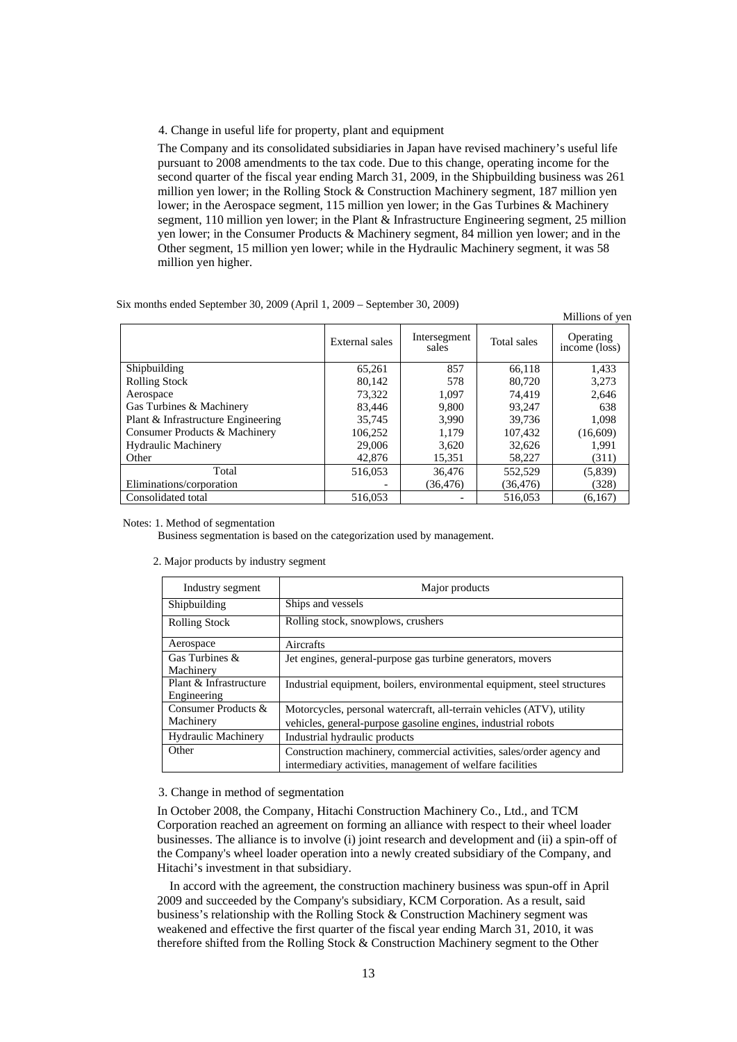### 4. Change in useful life for property, plant and equipment

The Company and its consolidated subsidiaries in Japan have revised machinery's useful life pursuant to 2008 amendments to the tax code. Due to this change, operating income for the second quarter of the fiscal year ending March 31, 2009, in the Shipbuilding business was 261 million yen lower; in the Rolling Stock & Construction Machinery segment, 187 million yen lower; in the Aerospace segment, 115 million yen lower; in the Gas Turbines & Machinery segment, 110 million yen lower; in the Plant & Infrastructure Engineering segment, 25 million yen lower; in the Consumer Products & Machinery segment, 84 million yen lower; and in the Other segment, 15 million yen lower; while in the Hydraulic Machinery segment, it was 58 million yen higher.

Six months ended September 30, 2009 (April 1, 2009 – September 30, 2009)

|                                    |                |                       |             | Millions of yen            |
|------------------------------------|----------------|-----------------------|-------------|----------------------------|
|                                    | External sales | Intersegment<br>sales | Total sales | Operating<br>income (loss) |
| Shipbuilding                       | 65,261         | 857                   | 66.118      | 1,433                      |
| <b>Rolling Stock</b>               | 80,142         | 578                   | 80.720      | 3,273                      |
| Aerospace                          | 73.322         | 1.097                 | 74.419      | 2,646                      |
| Gas Turbines & Machinery           | 83,446         | 9,800                 | 93,247      | 638                        |
| Plant & Infrastructure Engineering | 35,745         | 3,990                 | 39.736      | 1,098                      |
| Consumer Products & Machinery      | 106.252        | 1.179                 | 107.432     | (16,609)                   |
| <b>Hydraulic Machinery</b>         | 29,006         | 3,620                 | 32,626      | 1,991                      |
| Other                              | 42,876         | 15,351                | 58,227      | (311)                      |
| Total                              | 516,053        | 36,476                | 552,529     | (5,839)                    |
| Eliminations/corporation           |                | (36, 476)             | (36, 476)   | (328)                      |
| Consolidated total                 | 516,053        |                       | 516,053     | (6,167)                    |

Notes: 1. Method of segmentation

2. Major products by industry segment

Business segmentation is based on the categorization used by management.

| Industry segment |                   | Major products |
|------------------|-------------------|----------------|
| Shipbuilding     | Ships and vessels |                |

| Industry segment                      | Major products                                                                                                                     |
|---------------------------------------|------------------------------------------------------------------------------------------------------------------------------------|
| Shipbuilding                          | Ships and vessels                                                                                                                  |
| <b>Rolling Stock</b>                  | Rolling stock, snowplows, crushers                                                                                                 |
| Aerospace                             | Aircrafts                                                                                                                          |
| Gas Turbines &<br>Machinery           | Jet engines, general-purpose gas turbine generators, movers                                                                        |
| Plant & Infrastructure<br>Engineering | Industrial equipment, boilers, environmental equipment, steel structures                                                           |
| Consumer Products &<br>Machinery      | Motorcycles, personal watercraft, all-terrain vehicles (ATV), utility                                                              |
| <b>Hydraulic Machinery</b>            | vehicles, general-purpose gasoline engines, industrial robots<br>Industrial hydraulic products                                     |
| Other                                 | Construction machinery, commercial activities, sales/order agency and<br>intermediary activities, management of welfare facilities |

## 3. Change in method of segmentation

In October 2008, the Company, Hitachi Construction Machinery Co., Ltd., and TCM Corporation reached an agreement on forming an alliance with respect to their wheel loader businesses. The alliance is to involve (i) joint research and development and (ii) a spin-off of the Company's wheel loader operation into a newly created subsidiary of the Company, and Hitachi's investment in that subsidiary.

In accord with the agreement, the construction machinery business was spun-off in April 2009 and succeeded by the Company's subsidiary, KCM Corporation. As a result, said business's relationship with the Rolling Stock & Construction Machinery segment was weakened and effective the first quarter of the fiscal year ending March 31, 2010, it was therefore shifted from the Rolling Stock & Construction Machinery segment to the Other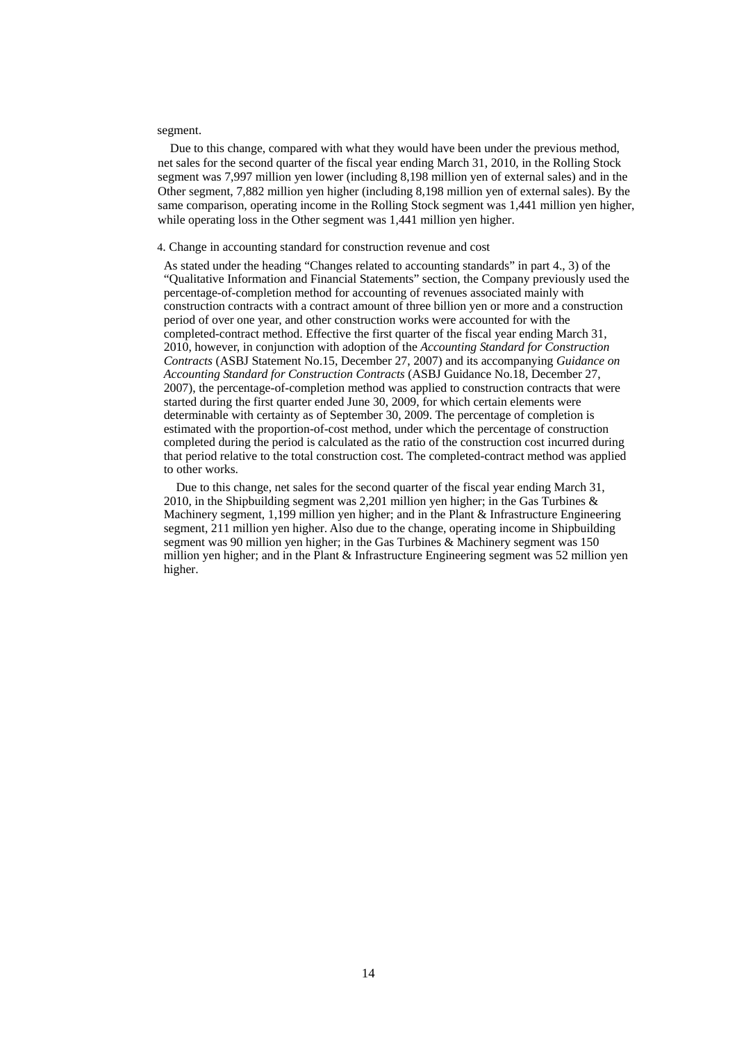#### segment.

Due to this change, compared with what they would have been under the previous method, net sales for the second quarter of the fiscal year ending March 31, 2010, in the Rolling Stock segment was 7,997 million yen lower (including 8,198 million yen of external sales) and in the Other segment, 7,882 million yen higher (including 8,198 million yen of external sales). By the same comparison, operating income in the Rolling Stock segment was 1,441 million yen higher, while operating loss in the Other segment was 1,441 million yen higher.

### 4. Change in accounting standard for construction revenue and cost

As stated under the heading "Changes related to accounting standards" in part 4., 3) of the "Qualitative Information and Financial Statements" section, the Company previously used the percentage-of-completion method for accounting of revenues associated mainly with construction contracts with a contract amount of three billion yen or more and a construction period of over one year, and other construction works were accounted for with the completed-contract method. Effective the first quarter of the fiscal year ending March 31, 2010, however, in conjunction with adoption of the *Accounting Standard for Construction Contracts* (ASBJ Statement No.15, December 27, 2007) and its accompanying *Guidance on Accounting Standard for Construction Contracts* (ASBJ Guidance No.18, December 27, 2007), the percentage-of-completion method was applied to construction contracts that were started during the first quarter ended June 30, 2009, for which certain elements were determinable with certainty as of September 30, 2009. The percentage of completion is estimated with the proportion-of-cost method, under which the percentage of construction completed during the period is calculated as the ratio of the construction cost incurred during that period relative to the total construction cost. The completed-contract method was applied to other works.

Due to this change, net sales for the second quarter of the fiscal year ending March 31, 2010, in the Shipbuilding segment was 2,201 million yen higher; in the Gas Turbines  $\&$ Machinery segment, 1,199 million yen higher; and in the Plant & Infrastructure Engineering segment, 211 million yen higher. Also due to the change, operating income in Shipbuilding segment was 90 million yen higher; in the Gas Turbines & Machinery segment was 150 million yen higher; and in the Plant & Infrastructure Engineering segment was 52 million yen higher.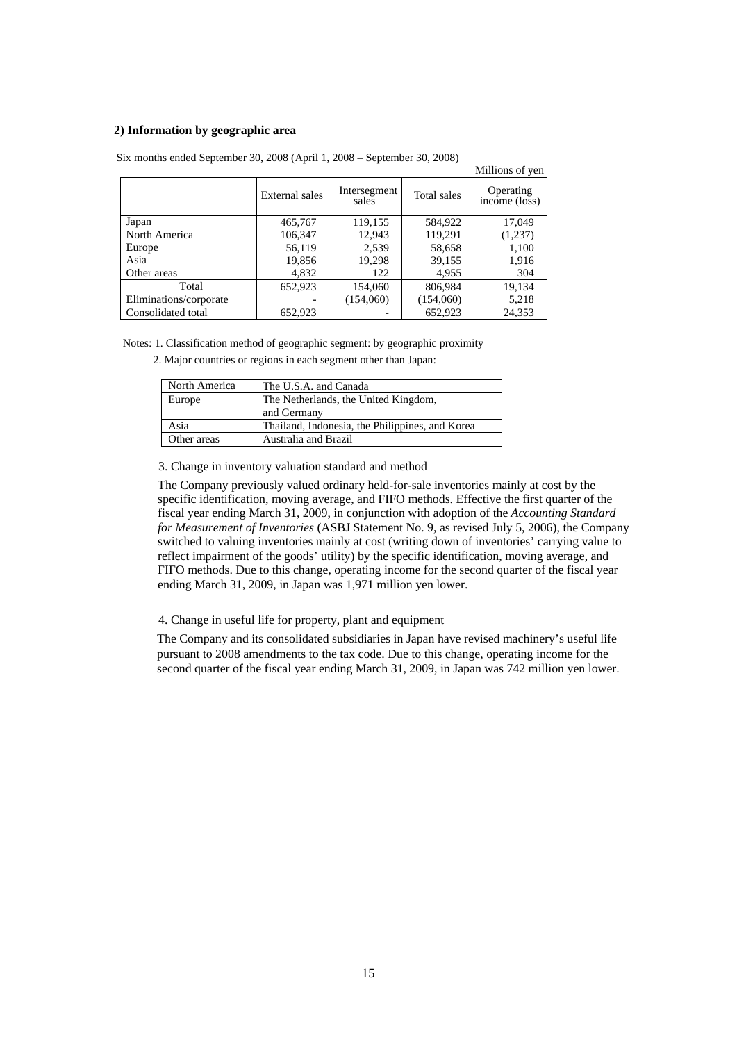## **2) Information by geographic area**

|                        |                |                       |             | Millions of yen            |
|------------------------|----------------|-----------------------|-------------|----------------------------|
|                        | External sales | Intersegment<br>sales | Total sales | Operating<br>income (loss) |
| Japan                  | 465,767        | 119,155               | 584,922     | 17,049                     |
| North America          | 106,347        | 12,943                | 119,291     | (1,237)                    |
| Europe                 | 56,119         | 2,539                 | 58,658      | 1,100                      |
| Asia                   | 19,856         | 19,298                | 39,155      | 1,916                      |
| Other areas            | 4,832          | 122                   | 4,955       | 304                        |
| Total                  | 652,923        | 154,060               | 806,984     | 19,134                     |
| Eliminations/corporate |                | (154,060)             | (154,060)   | 5,218                      |
| Consolidated total     | 652.923        |                       | 652.923     | 24.353                     |

Six months ended September 30, 2008 (April 1, 2008 – September 30, 2008)

Notes: 1. Classification method of geographic segment: by geographic proximity

2. Major countries or regions in each segment other than Japan:

| North America | The U.S.A. and Canada                           |
|---------------|-------------------------------------------------|
| Europe        | The Netherlands, the United Kingdom,            |
|               | and Germany                                     |
| Asia          | Thailand, Indonesia, the Philippines, and Korea |
| Other areas   | Australia and Brazil                            |

3. Change in inventory valuation standard and method

The Company previously valued ordinary held-for-sale inventories mainly at cost by the specific identification, moving average, and FIFO methods. Effective the first quarter of the fiscal year ending March 31, 2009, in conjunction with adoption of the *Accounting Standard for Measurement of Inventories* (ASBJ Statement No. 9, as revised July 5, 2006), the Company switched to valuing inventories mainly at cost (writing down of inventories' carrying value to reflect impairment of the goods' utility) by the specific identification, moving average, and FIFO methods. Due to this change, operating income for the second quarter of the fiscal year ending March 31, 2009, in Japan was 1,971 million yen lower.

4. Change in useful life for property, plant and equipment

The Company and its consolidated subsidiaries in Japan have revised machinery's useful life pursuant to 2008 amendments to the tax code. Due to this change, operating income for the second quarter of the fiscal year ending March 31, 2009, in Japan was 742 million yen lower.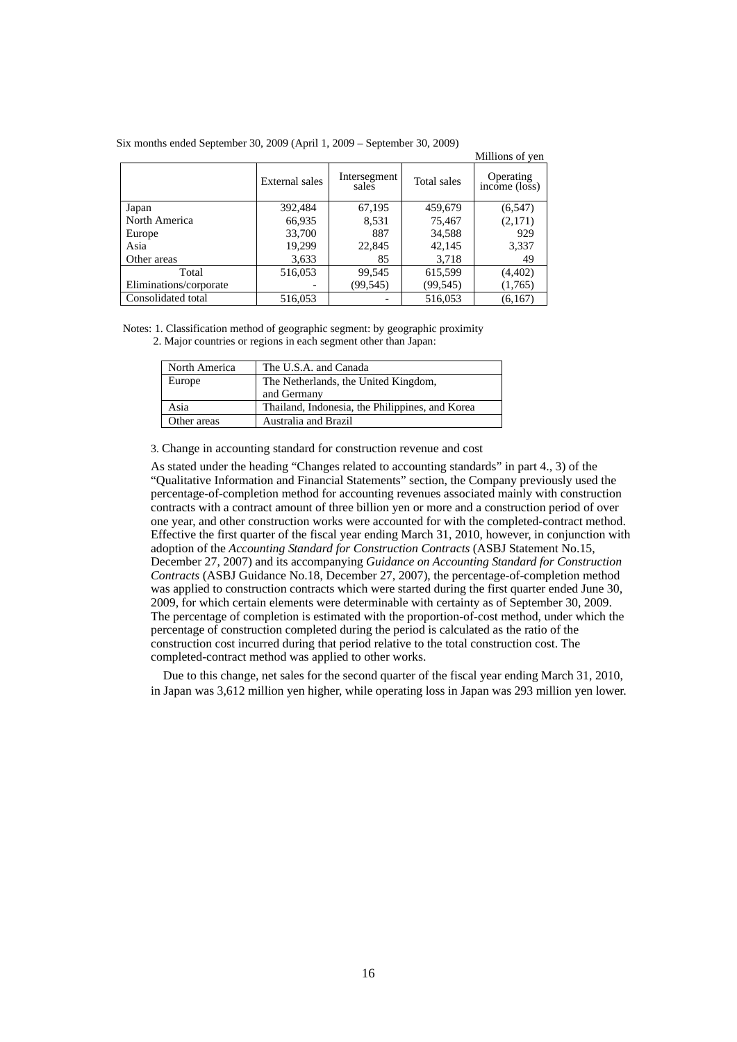|                        |                |                       |             | Millions of yen            |
|------------------------|----------------|-----------------------|-------------|----------------------------|
|                        | External sales | Intersegment<br>sales | Total sales | Operating<br>income (loss) |
| Japan                  | 392,484        | 67,195                | 459,679     | (6, 547)                   |
| North America          | 66,935         | 8,531                 | 75,467      | (2,171)                    |
| Europe                 | 33,700         | 887                   | 34,588      | 929                        |
| Asia                   | 19,299         | 22,845                | 42,145      | 3,337                      |
| Other areas            | 3,633          | 85                    | 3,718       | 49                         |
| Total                  | 516,053        | 99,545                | 615,599     | (4,402)                    |
| Eliminations/corporate |                | (99, 545)             | (99, 545)   | (1,765)                    |
| Consolidated total     | 516,053        |                       | 516,053     | (6,167)                    |

Six months ended September 30, 2009 (April 1, 2009 – September 30, 2009)

Notes: 1. Classification method of geographic segment: by geographic proximity 2. Major countries or regions in each segment other than Japan:

| North America | The U.S.A. and Canada                               |
|---------------|-----------------------------------------------------|
| Europe        | The Netherlands, the United Kingdom,<br>and Germany |
| Asia          | Thailand, Indonesia, the Philippines, and Korea     |
| Other areas   | Australia and Brazil                                |

3. Change in accounting standard for construction revenue and cost

As stated under the heading "Changes related to accounting standards" in part 4., 3) of the "Qualitative Information and Financial Statements" section, the Company previously used the percentage-of-completion method for accounting revenues associated mainly with construction contracts with a contract amount of three billion yen or more and a construction period of over one year, and other construction works were accounted for with the completed-contract method. Effective the first quarter of the fiscal year ending March 31, 2010, however, in conjunction with adoption of the *Accounting Standard for Construction Contracts* (ASBJ Statement No.15, December 27, 2007) and its accompanying *Guidance on Accounting Standard for Construction Contracts* (ASBJ Guidance No.18, December 27, 2007), the percentage-of-completion method was applied to construction contracts which were started during the first quarter ended June 30, 2009, for which certain elements were determinable with certainty as of September 30, 2009. The percentage of completion is estimated with the proportion-of-cost method, under which the percentage of construction completed during the period is calculated as the ratio of the construction cost incurred during that period relative to the total construction cost. The completed-contract method was applied to other works.

Due to this change, net sales for the second quarter of the fiscal year ending March 31, 2010, in Japan was 3,612 million yen higher, while operating loss in Japan was 293 million yen lower.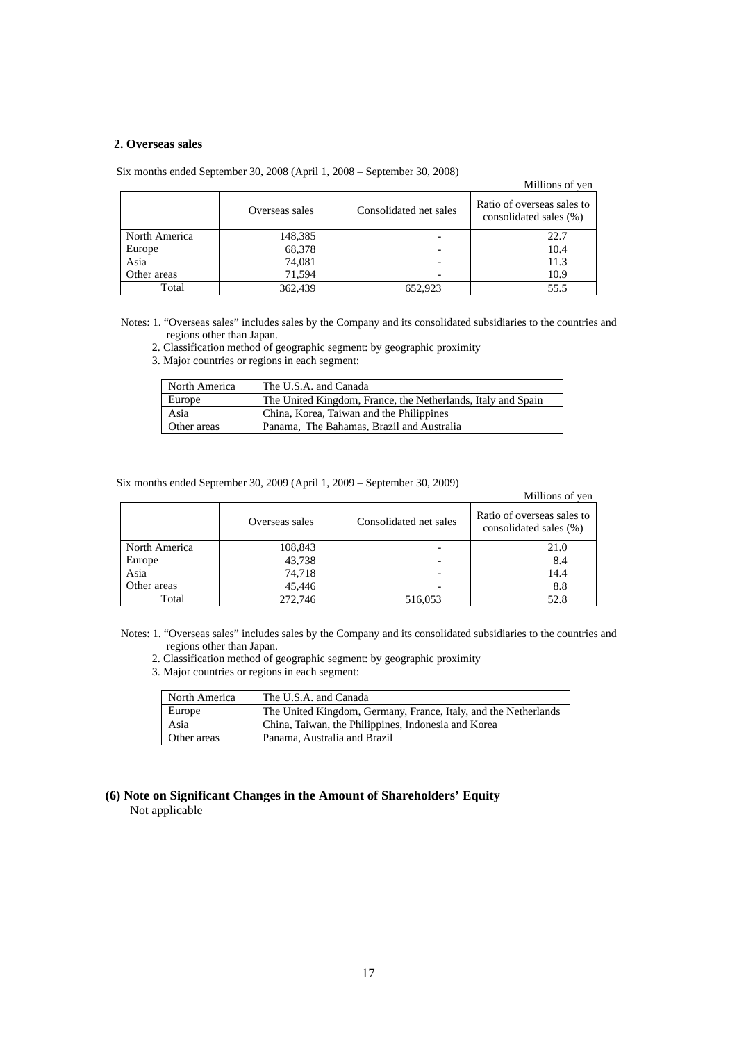## **2. Overseas sales**

Six months ended September 30, 2008 (April 1, 2008 – September 30, 2008)

### Millions of yen

|               | Overseas sales | Consolidated net sales | Ratio of overseas sales to<br>consolidated sales (%) |
|---------------|----------------|------------------------|------------------------------------------------------|
| North America | 148,385        |                        | 22.7                                                 |
| Europe        | 68,378         |                        | 10.4                                                 |
| Asia          | 74,081         |                        | 11.3                                                 |
| Other areas   | 71.594         |                        | 10.9                                                 |
| Total         | 362,439        | 652.923                | 55.5                                                 |

Notes: 1. "Overseas sales" includes sales by the Company and its consolidated subsidiaries to the countries and regions other than Japan.

2. Classification method of geographic segment: by geographic proximity

3. Major countries or regions in each segment:

| North America | The U.S.A. and Canada                                        |
|---------------|--------------------------------------------------------------|
| Europe        | The United Kingdom, France, the Netherlands, Italy and Spain |
| Asia          | China, Korea, Taiwan and the Philippines                     |
| Other areas   | Panama, The Bahamas, Brazil and Australia                    |

Six months ended September 30, 2009 (April 1, 2009 – September 30, 2009)

### Millions of yen

|               | Overseas sales | Consolidated net sales | Ratio of overseas sales to<br>consolidated sales (%) |
|---------------|----------------|------------------------|------------------------------------------------------|
| North America | 108,843        |                        | 21.0                                                 |
| Europe        | 43,738         |                        | 8.4                                                  |
| Asia          | 74,718         |                        | 14.4                                                 |
| Other areas   | 45,446         |                        | 8.8                                                  |
| Total         | 272,746        | 516,053                | 52.8                                                 |

Notes: 1. "Overseas sales" includes sales by the Company and its consolidated subsidiaries to the countries and regions other than Japan.

- 2. Classification method of geographic segment: by geographic proximity
- 3. Major countries or regions in each segment:

| North America | The U.S.A. and Canada                                           |
|---------------|-----------------------------------------------------------------|
| Europe        | The United Kingdom, Germany, France, Italy, and the Netherlands |
| Asia          | China, Taiwan, the Philippines, Indonesia and Korea             |
| Other areas   | Panama, Australia and Brazil                                    |

**(6) Note on Significant Changes in the Amount of Shareholders' Equity**  Not applicable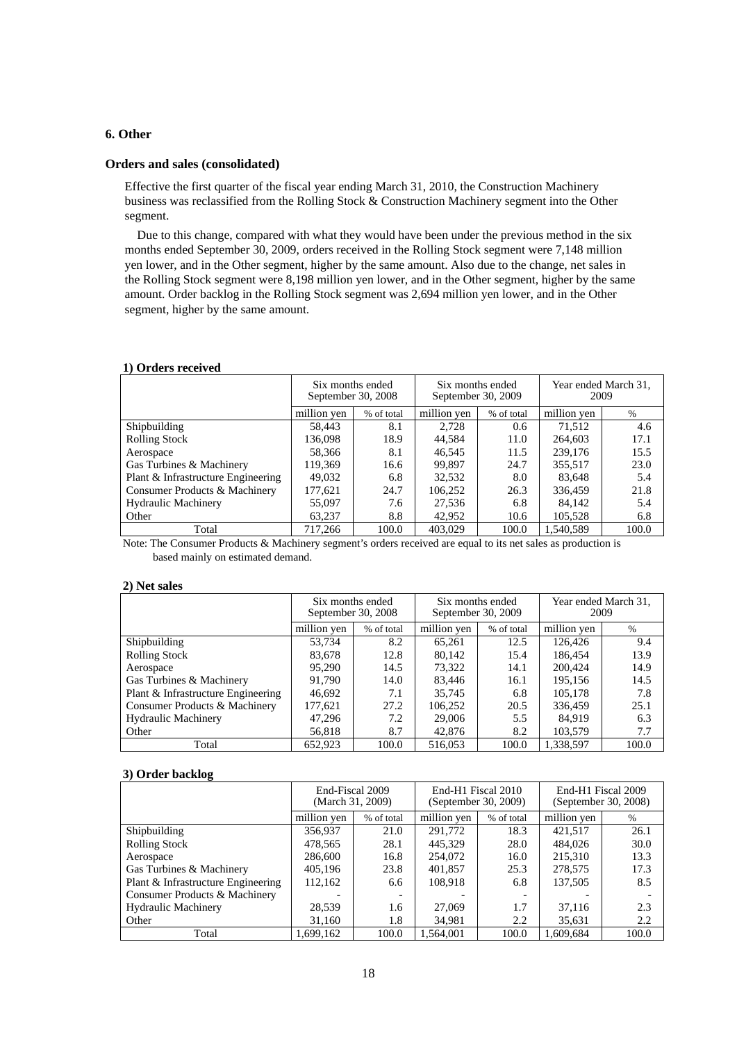# **6. Other**

### **Orders and sales (consolidated)**

Effective the first quarter of the fiscal year ending March 31, 2010, the Construction Machinery business was reclassified from the Rolling Stock & Construction Machinery segment into the Other segment.

Due to this change, compared with what they would have been under the previous method in the six months ended September 30, 2009, orders received in the Rolling Stock segment were 7,148 million yen lower, and in the Other segment, higher by the same amount. Also due to the change, net sales in the Rolling Stock segment were 8,198 million yen lower, and in the Other segment, higher by the same amount. Order backlog in the Rolling Stock segment was 2,694 million yen lower, and in the Other segment, higher by the same amount.

### **1) Orders received**

|                                    | Six months ended<br>September 30, 2008 |            | Six months ended<br>September 30, 2009 |            | Year ended March 31,<br>2009 |       |
|------------------------------------|----------------------------------------|------------|----------------------------------------|------------|------------------------------|-------|
|                                    | million ven                            | % of total | million yen                            | % of total | million yen                  | $\%$  |
| Shipbuilding                       | 58.443                                 | 8.1        | 2.728                                  | 0.6        | 71.512                       | 4.6   |
| <b>Rolling Stock</b>               | 136,098                                | 18.9       | 44,584                                 | 11.0       | 264,603                      | 17.1  |
| Aerospace                          | 58,366                                 | 8.1        | 46,545                                 | 11.5       | 239,176                      | 15.5  |
| Gas Turbines & Machinery           | 119,369                                | 16.6       | 99.897                                 | 24.7       | 355,517                      | 23.0  |
| Plant & Infrastructure Engineering | 49.032                                 | 6.8        | 32.532                                 | 8.0        | 83.648                       | 5.4   |
| Consumer Products & Machinery      | 177,621                                | 24.7       | 106,252                                | 26.3       | 336,459                      | 21.8  |
| <b>Hydraulic Machinery</b>         | 55,097                                 | 7.6        | 27.536                                 | 6.8        | 84.142                       | 5.4   |
| Other                              | 63,237                                 | 8.8        | 42.952                                 | 10.6       | 105.528                      | 6.8   |
| Total                              | 717.266                                | 100.0      | 403.029                                | 100.0      | 1.540.589                    | 100.0 |

Note: The Consumer Products & Machinery segment's orders received are equal to its net sales as production is based mainly on estimated demand.

### **2) Net sales**

|                                    | Six months ended<br>September 30, 2008 |            | Six months ended<br>September 30, 2009 |            | Year ended March 31,<br>2009 |       |
|------------------------------------|----------------------------------------|------------|----------------------------------------|------------|------------------------------|-------|
|                                    | million yen                            | % of total | million yen                            | % of total | million yen                  | $\%$  |
| Shipbuilding                       | 53.734                                 | 8.2        | 65,261                                 | 12.5       | 126,426                      | 9.4   |
| <b>Rolling Stock</b>               | 83,678                                 | 12.8       | 80.142                                 | 15.4       | 186.454                      | 13.9  |
| Aerospace                          | 95,290                                 | 14.5       | 73,322                                 | 14.1       | 200,424                      | 14.9  |
| Gas Turbines & Machinery           | 91.790                                 | 14.0       | 83.446                                 | 16.1       | 195.156                      | 14.5  |
| Plant & Infrastructure Engineering | 46,692                                 | 7.1        | 35,745                                 | 6.8        | 105,178                      | 7.8   |
| Consumer Products & Machinery      | 177,621                                | 27.2       | 106,252                                | 20.5       | 336,459                      | 25.1  |
| <b>Hydraulic Machinery</b>         | 47,296                                 | 7.2        | 29,006                                 | 5.5        | 84.919                       | 6.3   |
| Other                              | 56,818                                 | 8.7        | 42,876                                 | 8.2        | 103,579                      | 7.7   |
| Total                              | 652.923                                | 100.0      | 516,053                                | 100.0      | 1.338.597                    | 100.0 |

### **3) Order backlog**

|                                    | End-Fiscal 2009<br>(March 31, 2009) |                          | End-H1 Fiscal 2010<br>(September 30, 2009) |            | End-H1 Fiscal 2009<br>(September 30, 2008) |       |
|------------------------------------|-------------------------------------|--------------------------|--------------------------------------------|------------|--------------------------------------------|-------|
|                                    | million yen                         | % of total               | million yen                                | % of total | million yen                                | $\%$  |
| Shipbuilding                       | 356,937                             | 21.0                     | 291,772                                    | 18.3       | 421.517                                    | 26.1  |
| <b>Rolling Stock</b>               | 478.565                             | 28.1                     | 445.329                                    | 28.0       | 484,026                                    | 30.0  |
| Aerospace                          | 286,600                             | 16.8                     | 254,072                                    | 16.0       | 215,310                                    | 13.3  |
| Gas Turbines & Machinery           | 405,196                             | 23.8                     | 401.857                                    | 25.3       | 278,575                                    | 17.3  |
| Plant & Infrastructure Engineering | 112,162                             | 6.6                      | 108,918                                    | 6.8        | 137,505                                    | 8.5   |
| Consumer Products & Machinery      |                                     | $\overline{\phantom{a}}$ |                                            |            |                                            |       |
| <b>Hydraulic Machinery</b>         | 28,539                              | 1.6                      | 27,069                                     | 1.7        | 37.116                                     | 2.3   |
| Other                              | 31,160                              | 1.8                      | 34,981                                     | 2.2        | 35,631                                     | 2.2   |
| Total                              | 1,699,162                           | 100.0                    | 1,564,001                                  | 100.0      | 1,609,684                                  | 100.0 |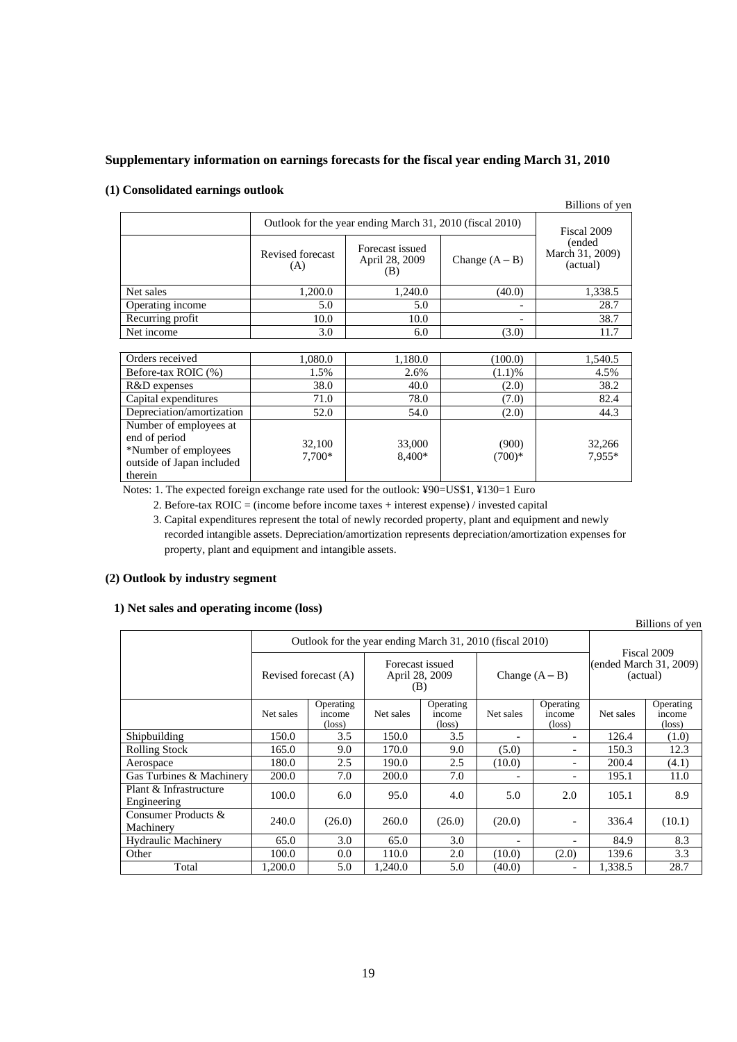# **Supplementary information on earnings forecasts for the fiscal year ending March 31, 2010**

## **(1) Consolidated earnings outlook**

|                                                                                                         |                                                          |                                          |                   | Billions of yen                       |
|---------------------------------------------------------------------------------------------------------|----------------------------------------------------------|------------------------------------------|-------------------|---------------------------------------|
|                                                                                                         | Outlook for the year ending March 31, 2010 (fiscal 2010) | Fiscal 2009                              |                   |                                       |
|                                                                                                         | Revised forecast<br>(A)                                  | Forecast issued<br>April 28, 2009<br>(B) | Change $(A - B)$  | (ended<br>March 31, 2009)<br>(actual) |
| Net sales                                                                                               | 1,200.0                                                  | 1,240.0                                  | (40.0)            | 1,338.5                               |
| Operating income                                                                                        | 5.0                                                      | 5.0                                      |                   | 28.7                                  |
| Recurring profit                                                                                        | 10.0                                                     | 10.0                                     |                   | 38.7                                  |
| Net income                                                                                              | 3.0                                                      | 6.0                                      | (3.0)             | 11.7                                  |
|                                                                                                         |                                                          |                                          |                   |                                       |
| Orders received                                                                                         | 1.080.0                                                  | 1,180.0                                  | (100.0)           | 1,540.5                               |
| Before-tax ROIC (%)                                                                                     | 1.5%                                                     | 2.6%                                     | (1.1)%            | 4.5%                                  |
| R&D expenses                                                                                            | 38.0                                                     | 40.0                                     | (2.0)             | 38.2                                  |
| Capital expenditures                                                                                    | 71.0                                                     | 78.0                                     | (7.0)             | 82.4                                  |
| Depreciation/amortization                                                                               | 52.0                                                     | 54.0                                     | (2.0)             | 44.3                                  |
| Number of employees at<br>end of period<br>*Number of employees<br>outside of Japan included<br>therein | 32,100<br>7,700*                                         | 33,000<br>8,400*                         | (900)<br>$(700)*$ | 32,266<br>7,955*                      |

Notes: 1. The expected foreign exchange rate used for the outlook: ¥90=US\$1, ¥130=1 Euro

2. Before-tax ROIC = (income before income taxes + interest expense) / invested capital

3. Capital expenditures represent the total of newly recorded property, plant and equipment and newly recorded intangible assets. Depreciation/amortization represents depreciation/amortization expenses for property, plant and equipment and intangible assets.

# **(2) Outlook by industry segment**

# **1) Net sales and operating income (loss)**

Billions of yen Outlook for the year ending March 31, 2010 (fiscal 2010) Revised forecast (A) Forecast issued April 28, 2009 (B) Change  $(A - B)$ Fiscal 2009 (ended March 31, 2009) (actual) Net sales Operating income  $\frac{\text{(loss)}}{3.5}$ Net sales **Operating** income  $\frac{(\text{loss})}{3.5}$ Net sales Operating income (loss) Net sales Operating income  $\frac{(\text{loss})}{(1.0)}$ Shipbuilding 150.0 3.5 150.0 3.5 - 126.4 Rolling Stock 165.0 9.0 170.0 9.0 (5.0) - 150.3 12.3<br>Aerospace 180.0 2.5 190.0 2.5 (10.0) - 200.4 (4.1) Aerospace 180.0 2.5 190.0 2.5 (10.0) - 200.4 (4.1) Gas Turbines & Machinery | 200.0 | 7.0 | 200.0 | 7.0 | - | - | 195.1 | 11.0 Plant & Infrastructure Frant & Inflastructure | 100.0 | 6.0 | 95.0 | 4.0 | 5.0 | 2.0 | 105.1 | 8.9 Consumer Products & Consumer Froducts & 240.0 (26.0) 260.0 (26.0) (20.0) - 336.4 (10.1) Hydraulic Machinery 65.0 3.0 65.0 3.0 - 84.9 8.3 Other 100.0 0.0 110.0 2.0 (10.0) (2.0) 139.6 3.3 Total 1,200.0 5.0 1,240.0 5.0 (40.0) - 1,338.5 28.7